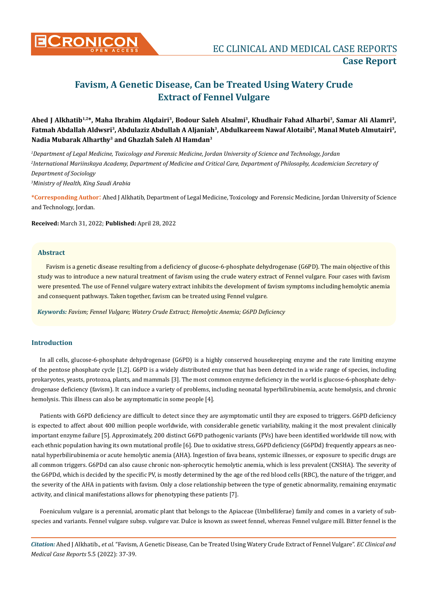

# **Favism, A Genetic Disease, Can be Treated Using Watery Crude Extract of Fennel Vulgare**

## **Ahed J Alkhatib1,2\*, Maha Ibrahim Alqdairi3, Bodour Saleh Alsalmi3, Khudhair Fahad Alharbi3, Samar Ali Alamri3,**  Fatmah Abdallah Aldwsri<sup>3</sup>, Abdulaziz Abdullah A Aljaniah<sup>3</sup>, Abdulkareem Nawaf Alotaibi<sup>3</sup>, Manal Muteb Almutairi<sup>3</sup>, **Nadia Mubarak Alharthy3 and Ghazlah Saleh Al Hamdan3**

 *Department of Legal Medicine, Toxicology and Forensic Medicine, Jordan University of Science and Technology, Jordan International Mariinskaya Academy, Department of Medicine and Critical Care, Department of Philosophy, Academician Secretary of Department of Sociology Ministry of Health, King Saudi Arabia*

**\*Corresponding Author**: Ahed J Alkhatib, Department of Legal Medicine, Toxicology and Forensic Medicine, Jordan University of Science and Technology, Jordan.

**Received:** March 31, 2022; **Published:** April 28, 2022

#### **Abstract**

Favism is a genetic disease resulting from a deficiency of glucose-6-phosphate dehydrogenase (G6PD). The main objective of this study was to introduce a new natural treatment of favism using the crude watery extract of Fennel vulgare. Four cases with favism were presented. The use of Fennel vulgare watery extract inhibits the development of favism symptoms including hemolytic anemia and consequent pathways. Taken together, favism can be treated using Fennel vulgare.

*Keywords: Favism; Fennel Vulgare; Watery Crude Extract; Hemolytic Anemia; G6PD Deficiency*

### **Introduction**

In all cells, glucose-6-phosphate dehydrogenase (G6PD) is a highly conserved housekeeping enzyme and the rate limiting enzyme of the pentose phosphate cycle [1,2]. G6PD is a widely distributed enzyme that has been detected in a wide range of species, including prokaryotes, yeasts, protozoa, plants, and mammals [3]. The most common enzyme deficiency in the world is glucose-6-phosphate dehydrogenase deficiency (favism). It can induce a variety of problems, including neonatal hyperbilirubinemia, acute hemolysis, and chronic hemolysis. This illness can also be asymptomatic in some people [4].

Patients with G6PD deficiency are difficult to detect since they are asymptomatic until they are exposed to triggers. G6PD deficiency is expected to affect about 400 million people worldwide, with considerable genetic variability, making it the most prevalent clinically important enzyme failure [5]. Approximately, 200 distinct G6PD pathogenic variants (PVs) have been identified worldwide till now, with each ethnic population having its own mutational profile [6]. Due to oxidative stress, G6PD deficiency (G6PDd) frequently appears as neonatal hyperbilirubinemia or acute hemolytic anemia (AHA). Ingestion of fava beans, systemic illnesses, or exposure to specific drugs are all common triggers. G6PDd can also cause chronic non-spherocytic hemolytic anemia, which is less prevalent (CNSHA). The severity of the G6PDd, which is decided by the specific PV, is mostly determined by the age of the red blood cells (RBC), the nature of the trigger, and the severity of the AHA in patients with favism. Only a close relationship between the type of genetic abnormality, remaining enzymatic activity, and clinical manifestations allows for phenotyping these patients [7].

Foeniculum vulgare is a perennial, aromatic plant that belongs to the Apiaceae (Umbelliferae) family and comes in a variety of subspecies and variants. Fennel vulgare subsp. vulgare var. Dulce is known as sweet fennel, whereas Fennel vulgare mill. Bitter fennel is the

*Citation:* Ahed J Alkhatib., *et al*. "Favism, A Genetic Disease, Can be Treated Using Watery Crude Extract of Fennel Vulgare". *EC Clinical and Medical Case Reports* 5.5 (2022): 37-39.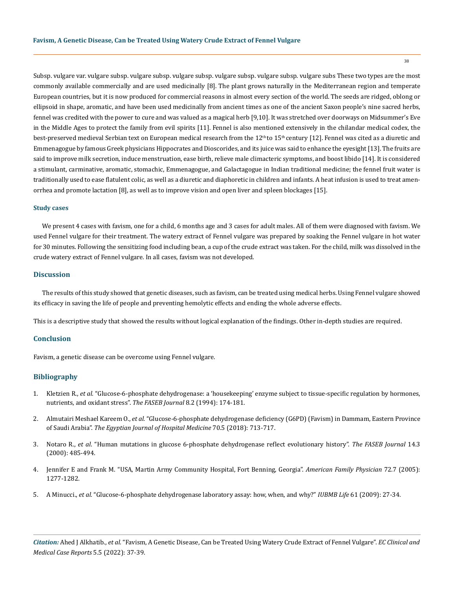Subsp. vulgare var. vulgare subsp. vulgare subsp. vulgare subsp. vulgare subsp. vulgare subsp. vulgare subs These two types are the most commonly available commercially and are used medicinally [8]. The plant grows naturally in the Mediterranean region and temperate European countries, but it is now produced for commercial reasons in almost every section of the world. The seeds are ridged, oblong or ellipsoid in shape, aromatic, and have been used medicinally from ancient times as one of the ancient Saxon people's nine sacred herbs, fennel was credited with the power to cure and was valued as a magical herb [9,10]. It was stretched over doorways on Midsummer's Eve in the Middle Ages to protect the family from evil spirits [11]. Fennel is also mentioned extensively in the chilandar medical codex, the best-preserved medieval Serbian text on European medical research from the  $12<sup>th</sup>$  to  $15<sup>th</sup>$  century [12]. Fennel was cited as a diuretic and Emmenagogue by famous Greek physicians Hippocrates and Dioscorides, and its juice was said to enhance the eyesight [13]. The fruits are said to improve milk secretion, induce menstruation, ease birth, relieve male climacteric symptoms, and boost libido [14]. It is considered a stimulant, carminative, aromatic, stomachic, Emmenagogue, and Galactagogue in Indian traditional medicine; the fennel fruit water is traditionally used to ease flatulent colic, as well as a diuretic and diaphoretic in children and infants. A heat infusion is used to treat amenorrhea and promote lactation [8], as well as to improve vision and open liver and spleen blockages [15].

#### **Study cases**

We present 4 cases with favism, one for a child, 6 months age and 3 cases for adult males. All of them were diagnosed with favism. We used Fennel vulgare for their treatment. The watery extract of Fennel vulgare was prepared by soaking the Fennel vulgare in hot water for 30 minutes. Following the sensitizing food including bean, a cup of the crude extract was taken. For the child, milk was dissolved in the crude watery extract of Fennel vulgare. In all cases, favism was not developed.

## **Discussion**

The results of this study showed that genetic diseases, such as favism, can be treated using medical herbs. Using Fennel vulgare showed its efficacy in saving the life of people and preventing hemolytic effects and ending the whole adverse effects.

This is a descriptive study that showed the results without logical explanation of the findings. Other in-depth studies are required.

## **Conclusion**

Favism, a genetic disease can be overcome using Fennel vulgare.

#### **Bibliography**

- 1. Kletzien R., *et al.* ["Glucose-6-phosphate dehydrogenase: a 'housekeeping' enzyme subject to tissue-specific regulation by hormones,](https://www.semanticscholar.org/paper/Glucose%E2%80%906%E2%80%90phosphate-dehydrogenase%3A-a-%E2%80%9Chousekeeping%E2%80%9D-Kletzien-Harris/2add614bc3529cc3bfbda048128249df07b835bb)  [nutrients, and oxidant stress".](https://www.semanticscholar.org/paper/Glucose%E2%80%906%E2%80%90phosphate-dehydrogenase%3A-a-%E2%80%9Chousekeeping%E2%80%9D-Kletzien-Harris/2add614bc3529cc3bfbda048128249df07b835bb) *The FASEB Journal* 8.2 (1994): 174-181.
- 2. Almutairi Meshael Kareem O., *et al.* ["Glucose-6-phosphate dehydrogenase deficiency \(G6PD\) \(Favism\) in Dammam, Eastern Province](https://ejhm.journals.ekb.eg/article_11060.html)  of Saudi Arabia". *[The Egyptian Journal of Hospital Medicine](https://ejhm.journals.ekb.eg/article_11060.html)* 70.5 (2018): 713-717.
- 3. Notaro R., *et al*[. "Human mutations in glucose 6-phosphate dehydrogenase reflect evolutionary history".](https://pubmed.ncbi.nlm.nih.gov/10698963/) *The FASEB Journal* 14.3 [\(2000\): 485-494.](https://pubmed.ncbi.nlm.nih.gov/10698963/)
- 4. Jennifer E and Frank M. "USA, Martin Army Community Hospital, Fort Benning, Georgia". *American Family Physician* 72.7 (2005): 1277-1282.
- 5. A Minucci., *et al.* ["Glucose-6-phosphate dehydrogenase laboratory assay: how, when, and why?"](https://pubmed.ncbi.nlm.nih.gov/18942156/) *IUBMB Life* 61 (2009): 27-34.

*Citation:* Ahed J Alkhatib., *et al*. "Favism, A Genetic Disease, Can be Treated Using Watery Crude Extract of Fennel Vulgare". *EC Clinical and Medical Case Reports* 5.5 (2022): 37-39.

38